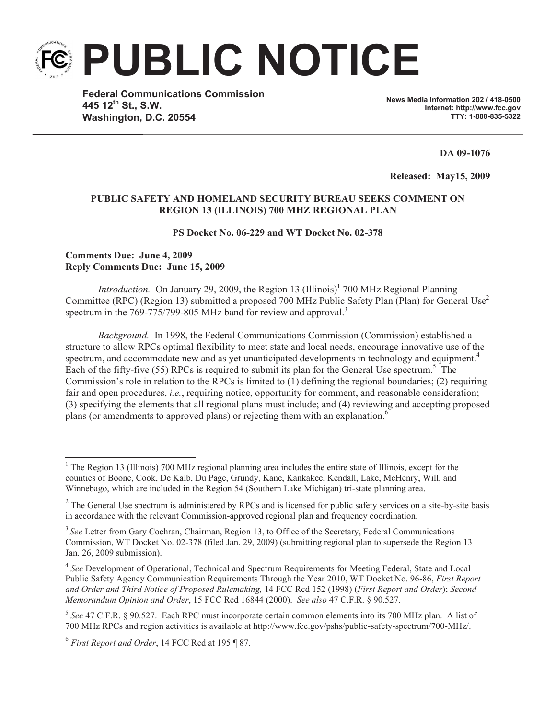**PUBLIC NOTICE**

**Federal Communications Commission 445 12th St., S.W. Washington, D.C. 20554**

**News Media Information 202 / 418-0500 Internet: http://www.fcc.gov TTY: 1-888-835-5322**

**DA 09-1076**

**Released: May15, 2009** 

## **PUBLIC SAFETY AND HOMELAND SECURITY BUREAU SEEKS COMMENT ON REGION 13 (ILLINOIS) 700 MHZ REGIONAL PLAN**

## **PS Docket No. 06-229 and WT Docket No. 02-378**

## **Comments Due: June 4, 2009 Reply Comments Due: June 15, 2009**

*Introduction.* On January 29, 2009, the Region 13 (Illinois)<sup>1</sup> 700 MHz Regional Planning Committee (RPC) (Region 13) submitted a proposed 700 MHz Public Safety Plan (Plan) for General Use<sup>2</sup> spectrum in the 769-775/799-805 MHz band for review and approval.<sup>3</sup>

*Background.* In 1998, the Federal Communications Commission (Commission) established a structure to allow RPCs optimal flexibility to meet state and local needs, encourage innovative use of the spectrum, and accommodate new and as yet unanticipated developments in technology and equipment.<sup>4</sup> Each of the fifty-five (55) RPCs is required to submit its plan for the General Use spectrum.<sup>5</sup> The Commission's role in relation to the RPCs is limited to  $(1)$  defining the regional boundaries;  $(2)$  requiring fair and open procedures, *i.e.*, requiring notice, opportunity for comment, and reasonable consideration; (3) specifying the elements that all regional plans must include; and (4) reviewing and accepting proposed plans (or amendments to approved plans) or rejecting them with an explanation.<sup>6</sup>

<sup>&</sup>lt;sup>1</sup> The Region 13 (Illinois) 700 MHz regional planning area includes the entire state of Illinois, except for the counties of Boone, Cook, De Kalb, Du Page, Grundy, Kane, Kankakee, Kendall, Lake, McHenry, Will, and Winnebago, which are included in the Region 54 (Southern Lake Michigan) tri-state planning area.

 $2^2$  The General Use spectrum is administered by RPCs and is licensed for public safety services on a site-by-site basis in accordance with the relevant Commission-approved regional plan and frequency coordination.

<sup>&</sup>lt;sup>3</sup> See Letter from Gary Cochran, Chairman, Region 13, to Office of the Secretary, Federal Communications Commission, WT Docket No. 02-378 (filed Jan. 29, 2009) (submitting regional plan to supersede the Region 13 Jan. 26, 2009 submission).

<sup>&</sup>lt;sup>4</sup> See Development of Operational, Technical and Spectrum Requirements for Meeting Federal, State and Local Public Safety Agency Communication Requirements Through the Year 2010, WT Docket No. 96-86, *First Report and Order and Third Notice of Proposed Rulemaking,* 14 FCC Rcd 152 (1998) (*First Report and Order*); *Second Memorandum Opinion and Order*, 15 FCC Rcd 16844 (2000). *See also* 47 C.F.R. § 90.527.

<sup>5</sup> *See* 47 C.F.R. § 90.527. Each RPC must incorporate certain common elements into its 700 MHz plan. A list of 700 MHz RPCs and region activities is available at http://www.fcc.gov/pshs/public-safety-spectrum/700-MHz/.

<sup>6</sup> *First Report and Order*, 14 FCC Rcd at 195 ¶ 87.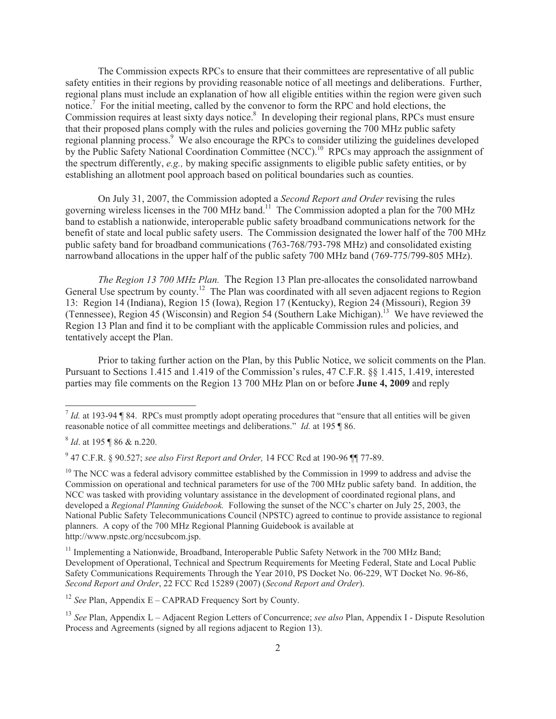The Commission expects RPCs to ensure that their committees are representative of all public safety entities in their regions by providing reasonable notice of all meetings and deliberations. Further, regional plans must include an explanation of how all eligible entities within the region were given such notice.<sup>7</sup> For the initial meeting, called by the convenor to form the RPC and hold elections, the Commission requires at least sixty days notice.<sup>8</sup> In developing their regional plans, RPCs must ensure that their proposed plans comply with the rules and policies governing the 700 MHz public safety regional planning process.<sup>9</sup> We also encourage the RPCs to consider utilizing the guidelines developed by the Public Safety National Coordination Committee (NCC).<sup>10</sup> RPCs may approach the assignment of the spectrum differently, *e.g.,* by making specific assignments to eligible public safety entities, or by establishing an allotment pool approach based on political boundaries such as counties.

On July 31, 2007, the Commission adopted a *Second Report and Order* revising the rules governing wireless licenses in the 700 MHz band.<sup>11</sup> The Commission adopted a plan for the 700 MHz band to establish a nationwide, interoperable public safety broadband communications network for the benefit of state and local public safety users. The Commission designated the lower half of the 700 MHz public safety band for broadband communications (763-768/793-798 MHz) and consolidated existing narrowband allocations in the upper half of the public safety 700 MHz band (769-775/799-805 MHz).

*The Region 13 700 MHz Plan.* The Region 13 Plan pre-allocates the consolidated narrowband General Use spectrum by county.<sup>12</sup> The Plan was coordinated with all seven adjacent regions to Region 13: Region 14 (Indiana), Region 15 (Iowa), Region 17 (Kentucky), Region 24 (Missouri), Region 39 (Tennessee), Region 45 (Wisconsin) and Region 54 (Southern Lake Michigan).<sup>13</sup> We have reviewed the Region 13 Plan and find it to be compliant with the applicable Commission rules and policies, and tentatively accept the Plan.

Prior to taking further action on the Plan, by this Public Notice, we solicit comments on the Plan. Pursuant to Sections 1.415 and 1.419 of the Commission's rules, 47 C.F.R. §§ 1.415, 1.419, interested parties may file comments on the Region 13 700 MHz Plan on or before **June 4, 2009** and reply

<sup>12</sup> *See* Plan, Appendix E – CAPRAD Frequency Sort by County.

 $<sup>7</sup>$  *Id.* at 193-94 ¶ 84. RPCs must promptly adopt operating procedures that "ensure that all entities will be given</sup> reasonable notice of all committee meetings and deliberations." *Id.* at 195 ¶ 86.

<sup>8</sup> *Id*. at 195 ¶ 86 & n.220.

<sup>9</sup> 47 C.F.R. § 90.527; *see also First Report and Order,* 14 FCC Rcd at 190-96 ¶¶ 77-89.

 $10$  The NCC was a federal advisory committee established by the Commission in 1999 to address and advise the Commission on operational and technical parameters for use of the 700 MHz public safety band. In addition, the NCC was tasked with providing voluntary assistance in the development of coordinated regional plans, and developed a *Regional Planning Guidebook.* Following the sunset of the NCC's charter on July 25, 2003, the National Public Safety Telecommunications Council (NPSTC) agreed to continue to provide assistance to regional planners. A copy of the 700 MHz Regional Planning Guidebook is available at http://www.npstc.org/nccsubcom.jsp.

<sup>&</sup>lt;sup>11</sup> Implementing a Nationwide, Broadband, Interoperable Public Safety Network in the 700 MHz Band; Development of Operational, Technical and Spectrum Requirements for Meeting Federal, State and Local Public Safety Communications Requirements Through the Year 2010, PS Docket No. 06-229, WT Docket No. 96-86, *Second Report and Order*, 22 FCC Rcd 15289 (2007) (*Second Report and Order*).

<sup>13</sup> *See* Plan, Appendix L – Adjacent Region Letters of Concurrence; *see also* Plan, Appendix I - Dispute Resolution Process and Agreements (signed by all regions adjacent to Region 13).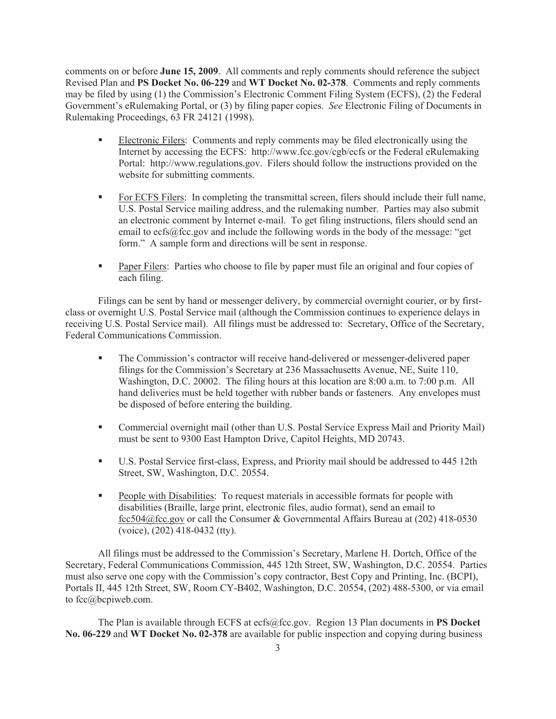comments on or before **June 15, 2009**. All comments and reply comments should reference the subject Revised Plan and **PS Docket No. 06-229** and **WT Docket No. 02-378**. Comments and reply comments may be filed by using (1) the Commission's Electronic Comment Filing System (ECFS), (2) the Federal Government's eRulemaking Portal, or (3) by filing paper copies. *See* Electronic Filing of Documents in Rulemaking Proceedings, 63 FR 24121 (1998).

- **•** Electronic Filers: Comments and reply comments may be filed electronically using the Internet by accessing the ECFS: http://www.fcc.gov/cgb/ecfs or the Federal eRulemaking Portal: http://www.regulations.gov. Filers should follow the instructions provided on the website for submitting comments.
- For ECFS Filers: In completing the transmittal screen, filers should include their full name, U.S. Postal Service mailing address, and the rulemaking number. Parties may also submit an electronic comment by Internet e-mail. To get filing instructions, filers should send an email to ecfs@fcc.gov and include the following words in the body of the message: "get form." A sample form and directions will be sent in response.
- § Paper Filers: Parties who choose to file by paper must file an original and four copies of each filing.

Filings can be sent by hand or messenger delivery, by commercial overnight courier, or by firstclass or overnight U.S. Postal Service mail (although the Commission continues to experience delays in receiving U.S. Postal Service mail). All filings must be addressed to: Secretary, Office of the Secretary, Federal Communications Commission.

- § The Commission's contractor will receive hand-delivered or messenger-delivered paper filings for the Commission's Secretary at 236 Massachusetts Avenue, NE, Suite 110, Washington, D.C. 20002. The filing hours at this location are 8:00 a.m. to 7:00 p.m. All hand deliveries must be held together with rubber bands or fasteners. Any envelopes must be disposed of before entering the building.
- § Commercial overnight mail (other than U.S. Postal Service Express Mail and Priority Mail) must be sent to 9300 East Hampton Drive, Capitol Heights, MD 20743.
- § U.S. Postal Service first-class, Express, and Priority mail should be addressed to 445 12th Street, SW, Washington, D.C. 20554.
- § People with Disabilities: To request materials in accessible formats for people with disabilities (Braille, large print, electronic files, audio format), send an email to fcc504@fcc.gov or call the Consumer & Governmental Affairs Bureau at (202) 418-0530 (voice), (202) 418-0432 (tty).

All filings must be addressed to the Commission's Secretary, Marlene H. Dortch, Office of the Secretary, Federal Communications Commission, 445 12th Street, SW, Washington, D.C. 20554. Parties must also serve one copy with the Commission's copy contractor, Best Copy and Printing, Inc. (BCPI), Portals II, 445 12th Street, SW, Room CY-B402, Washington, D.C. 20554, (202) 488-5300, or via email to fcc@bcpiweb.com.

The Plan is available through ECFS at ecfs@fcc.gov. Region 13 Plan documents in **PS Docket No. 06-229** and **WT Docket No. 02-378** are available for public inspection and copying during business